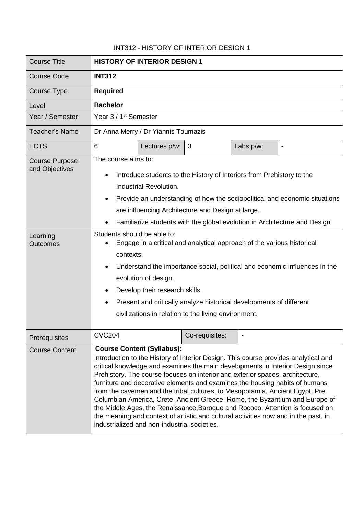## INT312 - HISTORY OF INTERIOR DESIGN 1

| <b>Course Title</b>                     | <b>HISTORY OF INTERIOR DESIGN 1</b>                                                                                                                                                                                                                                                                                                                                                                                                                                                                                                                                                                                                                                                                                                                               |
|-----------------------------------------|-------------------------------------------------------------------------------------------------------------------------------------------------------------------------------------------------------------------------------------------------------------------------------------------------------------------------------------------------------------------------------------------------------------------------------------------------------------------------------------------------------------------------------------------------------------------------------------------------------------------------------------------------------------------------------------------------------------------------------------------------------------------|
| <b>Course Code</b>                      | <b>INT312</b>                                                                                                                                                                                                                                                                                                                                                                                                                                                                                                                                                                                                                                                                                                                                                     |
| Course Type                             | <b>Required</b>                                                                                                                                                                                                                                                                                                                                                                                                                                                                                                                                                                                                                                                                                                                                                   |
| Level                                   | <b>Bachelor</b>                                                                                                                                                                                                                                                                                                                                                                                                                                                                                                                                                                                                                                                                                                                                                   |
| Year / Semester                         | Year 3 / 1 <sup>st</sup> Semester                                                                                                                                                                                                                                                                                                                                                                                                                                                                                                                                                                                                                                                                                                                                 |
| <b>Teacher's Name</b>                   | Dr Anna Merry / Dr Yiannis Toumazis                                                                                                                                                                                                                                                                                                                                                                                                                                                                                                                                                                                                                                                                                                                               |
| <b>ECTS</b>                             | 6<br>3<br>Labs p/w:<br>Lectures p/w:<br>$\blacksquare$                                                                                                                                                                                                                                                                                                                                                                                                                                                                                                                                                                                                                                                                                                            |
| <b>Course Purpose</b><br>and Objectives | The course aims to:                                                                                                                                                                                                                                                                                                                                                                                                                                                                                                                                                                                                                                                                                                                                               |
|                                         | Introduce students to the History of Interiors from Prehistory to the<br>٠<br>Industrial Revolution.                                                                                                                                                                                                                                                                                                                                                                                                                                                                                                                                                                                                                                                              |
|                                         | Provide an understanding of how the sociopolitical and economic situations                                                                                                                                                                                                                                                                                                                                                                                                                                                                                                                                                                                                                                                                                        |
|                                         | are influencing Architecture and Design at large.                                                                                                                                                                                                                                                                                                                                                                                                                                                                                                                                                                                                                                                                                                                 |
|                                         | Familiarize students with the global evolution in Architecture and Design                                                                                                                                                                                                                                                                                                                                                                                                                                                                                                                                                                                                                                                                                         |
| Learning<br><b>Outcomes</b>             | Students should be able to:<br>Engage in a critical and analytical approach of the various historical<br>contexts.<br>Understand the importance social, political and economic influences in the<br>$\bullet$<br>evolution of design.<br>Develop their research skills.<br>٠<br>Present and critically analyze historical developments of different<br>civilizations in relation to the living environment.                                                                                                                                                                                                                                                                                                                                                       |
|                                         | <b>CVC204</b>                                                                                                                                                                                                                                                                                                                                                                                                                                                                                                                                                                                                                                                                                                                                                     |
| Prerequisites                           | Co-requisites:                                                                                                                                                                                                                                                                                                                                                                                                                                                                                                                                                                                                                                                                                                                                                    |
| <b>Course Content</b>                   | <b>Course Content (Syllabus):</b><br>Introduction to the History of Interior Design. This course provides analytical and<br>critical knowledge and examines the main developments in Interior Design since<br>Prehistory. The course focuses on interior and exterior spaces, architecture,<br>furniture and decorative elements and examines the housing habits of humans<br>from the cavemen and the tribal cultures, to Mesopotamia, Ancient Egypt, Pre<br>Columbian America, Crete, Ancient Greece, Rome, the Byzantium and Europe of<br>the Middle Ages, the Renaissance, Baroque and Rococo. Attention is focused on<br>the meaning and context of artistic and cultural activities now and in the past, in<br>industrialized and non-industrial societies. |